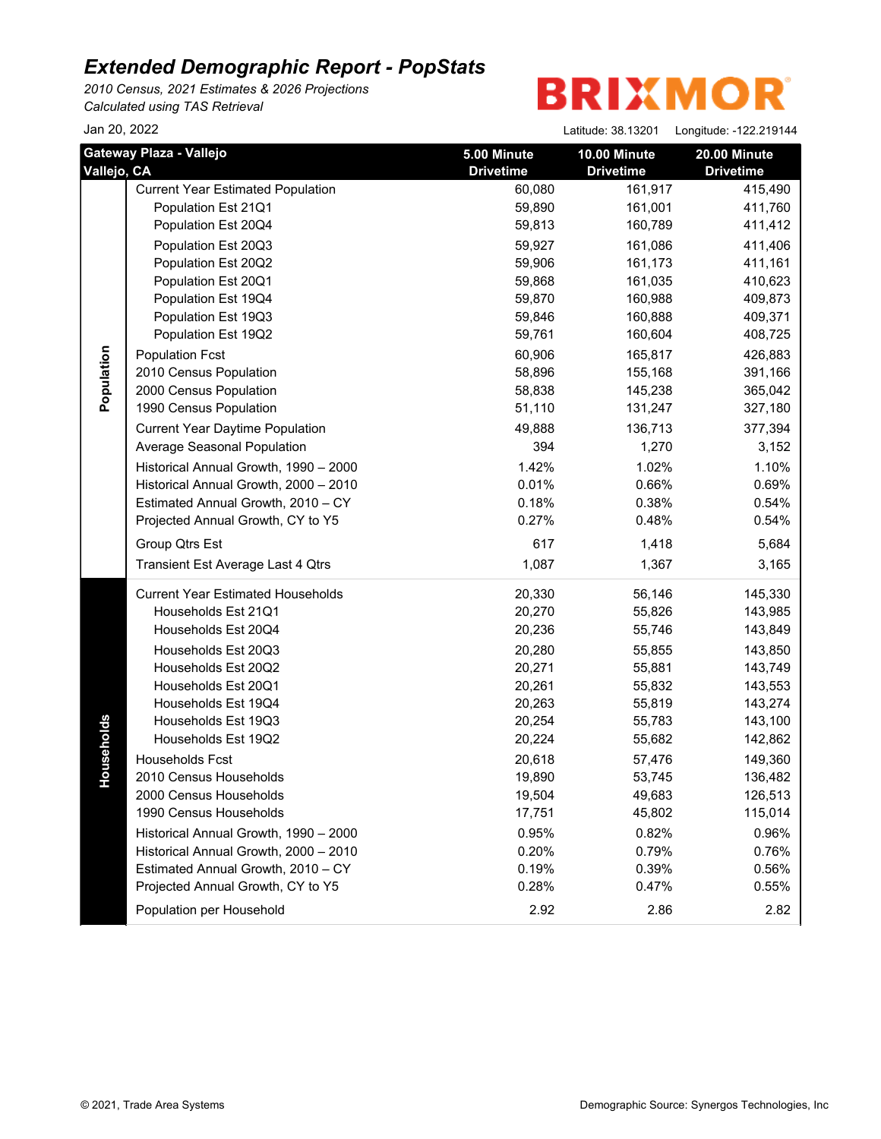*2010 Census, 2021 Estimates & 2026 Projections Calculated using TAS Retrieval*

| Jan 20, 2022 |                                          |                  | Latitude: 38.13201 | Longitude: - 122.219144 |
|--------------|------------------------------------------|------------------|--------------------|-------------------------|
|              | Gateway Plaza - Vallejo                  | 5.00 Minute      | 10.00 Minute       | 20.00 Minute            |
| Vallejo, CA  |                                          | <b>Drivetime</b> | <b>Drivetime</b>   | <b>Drivetime</b>        |
|              | <b>Current Year Estimated Population</b> | 60,080           | 161,917            | 415,490                 |
|              | Population Est 21Q1                      | 59,890           | 161,001            | 411,760                 |
|              | Population Est 20Q4                      | 59,813           | 160,789            | 411,412                 |
|              | Population Est 20Q3                      | 59,927           | 161,086            | 411,406                 |
|              | Population Est 20Q2                      | 59,906           | 161,173            | 411,161                 |
|              | Population Est 20Q1                      | 59,868           | 161,035            | 410,623                 |
|              | Population Est 19Q4                      | 59,870           | 160,988            | 409,873                 |
|              | Population Est 19Q3                      | 59,846           | 160,888            | 409,371                 |
|              | Population Est 19Q2                      | 59,761           | 160,604            | 408,725                 |
| Population   | <b>Population Fcst</b>                   | 60,906           | 165,817            | 426,883                 |
|              | 2010 Census Population                   | 58,896           | 155,168            | 391,166                 |
|              | 2000 Census Population                   | 58,838           | 145,238            | 365,042                 |
|              | 1990 Census Population                   | 51,110           | 131,247            | 327,180                 |
|              | <b>Current Year Daytime Population</b>   | 49,888           | 136,713            | 377,394                 |
|              | Average Seasonal Population              | 394              | 1,270              | 3,152                   |
|              | Historical Annual Growth, 1990 - 2000    | 1.42%            | 1.02%              | 1.10%                   |
|              | Historical Annual Growth, 2000 - 2010    | 0.01%            | 0.66%              | 0.69%                   |
|              | Estimated Annual Growth, 2010 - CY       | 0.18%            | 0.38%              | 0.54%                   |
|              | Projected Annual Growth, CY to Y5        | 0.27%            | 0.48%              | 0.54%                   |
|              | Group Qtrs Est                           | 617              | 1,418              | 5,684                   |
|              | Transient Est Average Last 4 Qtrs        | 1,087            | 1,367              | 3,165                   |
|              | <b>Current Year Estimated Households</b> | 20,330           | 56,146             | 145,330                 |
|              | Households Est 21Q1                      | 20,270           | 55,826             | 143,985                 |
|              | Households Est 20Q4                      | 20,236           | 55,746             | 143,849                 |
|              | Households Est 20Q3                      | 20,280           | 55,855             | 143,850                 |
|              | Households Est 20Q2                      | 20,271           | 55,881             | 143,749                 |
|              | Households Est 20Q1                      | 20,261           | 55,832             | 143,553                 |
|              | Households Est 19Q4                      | 20,263           | 55,819             | 143,274                 |
|              | Households Est 19Q3                      | 20,254           | 55,783             | 143,100                 |
| seholds      | Households Est 19Q2                      | 20,224           | 55,682             | 142,862                 |
|              | <b>Households Fcst</b>                   | 20,618           | 57,476             | 149,360                 |
| 윤            | 2010 Census Households                   | 19,890           | 53,745             | 136,482                 |
|              | 2000 Census Households                   | 19,504           | 49,683             | 126,513                 |
|              | 1990 Census Households                   | 17,751           | 45,802             | 115,014                 |
|              | Historical Annual Growth, 1990 - 2000    | 0.95%            | 0.82%              | 0.96%                   |
|              | Historical Annual Growth, 2000 - 2010    | 0.20%            | 0.79%              | 0.76%                   |
|              | Estimated Annual Growth, 2010 - CY       | 0.19%            | 0.39%              | 0.56%                   |
|              | Projected Annual Growth, CY to Y5        | 0.28%            | 0.47%              | 0.55%                   |
|              | Population per Household                 | 2.92             | 2.86               | 2.82                    |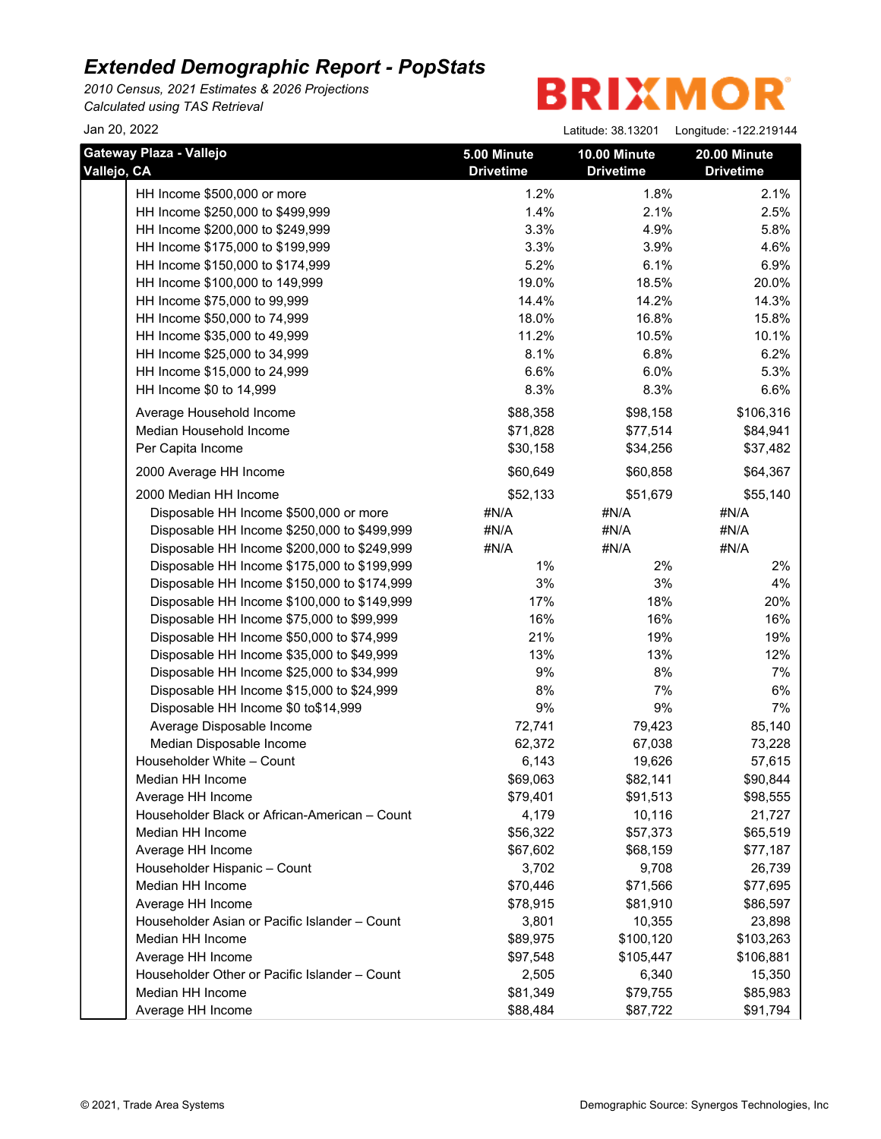*2010 Census, 2021 Estimates & 2026 Projections Calculated using TAS Retrieval*

| Jan 20, 2022                                  |                                 | Latitude: 38.13201               | Longitude: -122.219144           |
|-----------------------------------------------|---------------------------------|----------------------------------|----------------------------------|
| Gateway Plaza - Vallejo<br>Vallejo, CA        | 5.00 Minute<br><b>Drivetime</b> | 10.00 Minute<br><b>Drivetime</b> | 20.00 Minute<br><b>Drivetime</b> |
| HH Income \$500,000 or more                   | 1.2%                            | 1.8%                             | 2.1%                             |
| HH Income \$250,000 to \$499,999              | 1.4%                            | 2.1%                             | 2.5%                             |
| HH Income \$200,000 to \$249,999              | 3.3%                            | 4.9%                             | 5.8%                             |
| HH Income \$175,000 to \$199,999              | 3.3%                            | 3.9%                             | 4.6%                             |
| HH Income \$150,000 to \$174,999              | 5.2%                            | 6.1%                             | 6.9%                             |
| HH Income \$100,000 to 149,999                | 19.0%                           | 18.5%                            | 20.0%                            |
| HH Income \$75,000 to 99,999                  | 14.4%                           | 14.2%                            | 14.3%                            |
| HH Income \$50,000 to 74,999                  | 18.0%                           | 16.8%                            | 15.8%                            |
| HH Income \$35,000 to 49,999                  | 11.2%                           | 10.5%                            | 10.1%                            |
| HH Income \$25,000 to 34,999                  | 8.1%                            | 6.8%                             | 6.2%                             |
| HH Income \$15,000 to 24,999                  | 6.6%                            | 6.0%                             | 5.3%                             |
| HH Income \$0 to 14,999                       | 8.3%                            | 8.3%                             | 6.6%                             |
| Average Household Income                      | \$88,358                        | \$98,158                         | \$106,316                        |
| Median Household Income                       | \$71,828                        | \$77,514                         | \$84,941                         |
| Per Capita Income                             | \$30,158                        | \$34,256                         | \$37,482                         |
| 2000 Average HH Income                        | \$60,649                        | \$60,858                         | \$64,367                         |
| 2000 Median HH Income                         | \$52,133                        | \$51,679                         | \$55,140                         |
| Disposable HH Income \$500,000 or more        | #N/A                            | #N/A                             | #N/A                             |
| Disposable HH Income \$250,000 to \$499,999   | #N/A                            | #N/A                             | #N/A                             |
| Disposable HH Income \$200,000 to \$249,999   | #N/A                            | #N/A                             | #N/A                             |
| Disposable HH Income \$175,000 to \$199,999   | 1%                              | 2%                               | 2%                               |
| Disposable HH Income \$150,000 to \$174,999   | 3%                              | 3%                               | 4%                               |
| Disposable HH Income \$100,000 to \$149,999   | 17%                             | 18%                              | 20%                              |
| Disposable HH Income \$75,000 to \$99,999     | 16%                             | 16%                              | 16%                              |
| Disposable HH Income \$50,000 to \$74,999     | 21%                             | 19%                              | 19%                              |
| Disposable HH Income \$35,000 to \$49,999     | 13%                             | 13%                              | 12%                              |
| Disposable HH Income \$25,000 to \$34,999     | 9%                              | 8%                               | 7%                               |
| Disposable HH Income \$15,000 to \$24,999     | $8%$                            | 7%                               | 6%                               |
| Disposable HH Income \$0 to\$14,999           | $9\%$                           | 9%                               | 7%                               |
| Average Disposable Income                     | 72,741                          | 79,423                           | 85,140                           |
| Median Disposable Income                      | 62,372                          | 67,038                           | 73,228                           |
| Householder White - Count                     | 6,143                           | 19,626                           | 57,615                           |
| Median HH Income                              | \$69,063                        | \$82,141                         | \$90,844                         |
| Average HH Income                             | \$79,401                        | \$91,513                         | \$98,555                         |
| Householder Black or African-American - Count | 4,179                           | 10,116                           | 21,727                           |
| Median HH Income                              | \$56,322                        | \$57,373                         | \$65,519                         |
| Average HH Income                             | \$67,602                        | \$68,159                         | \$77,187                         |
| Householder Hispanic - Count                  | 3,702                           | 9,708                            | 26,739                           |
| Median HH Income                              | \$70,446                        | \$71,566                         | \$77,695                         |
| Average HH Income                             | \$78,915                        | \$81,910                         | \$86,597                         |
| Householder Asian or Pacific Islander - Count | 3,801                           | 10,355                           | 23,898                           |
| Median HH Income                              | \$89,975                        | \$100,120                        | \$103,263                        |
| Average HH Income                             | \$97,548                        | \$105,447                        | \$106,881                        |
| Householder Other or Pacific Islander - Count | 2,505                           | 6,340                            | 15,350                           |
| Median HH Income                              | \$81,349                        | \$79,755                         | \$85,983                         |
| Average HH Income                             | \$88,484                        | \$87,722                         | \$91,794                         |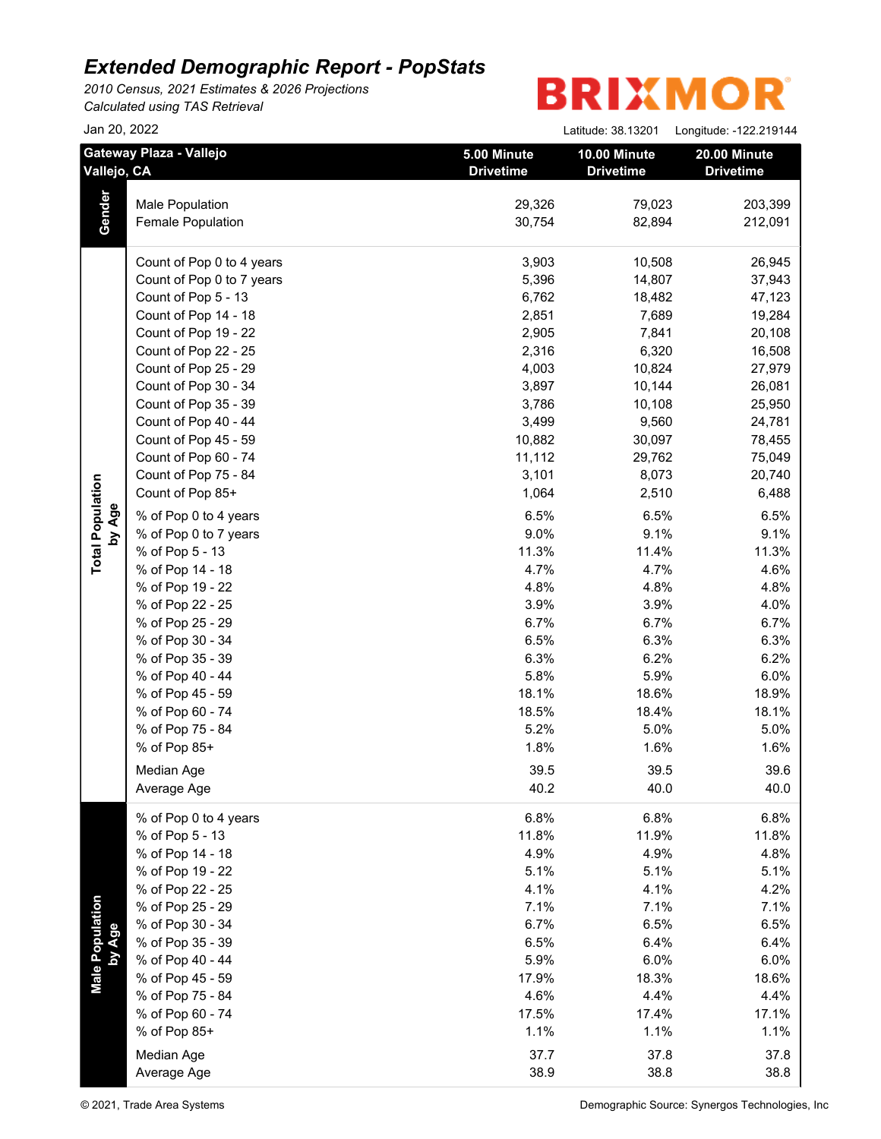*2010 Census, 2021 Estimates & 2026 Projections*

*Calculated using TAS Retrieval*

|                           | Jan 20, 2022                           |                                 | Latitude: 38.13201               | Longitude: -122.219144           |
|---------------------------|----------------------------------------|---------------------------------|----------------------------------|----------------------------------|
|                           | Gateway Plaza - Vallejo<br>Vallejo, CA | 5.00 Minute<br><b>Drivetime</b> | 10.00 Minute<br><b>Drivetime</b> | 20.00 Minute<br><b>Drivetime</b> |
|                           | Male Population                        | 29,326                          | 79,023                           | 203,399                          |
| Gender                    | Female Population                      | 30,754                          | 82,894                           | 212,091                          |
|                           | Count of Pop 0 to 4 years              | 3,903                           | 10,508                           | 26,945                           |
|                           | Count of Pop 0 to 7 years              | 5,396                           | 14,807                           | 37,943                           |
|                           | Count of Pop 5 - 13                    | 6,762                           | 18,482                           | 47,123                           |
|                           | Count of Pop 14 - 18                   | 2,851                           | 7,689                            | 19,284                           |
|                           | Count of Pop 19 - 22                   | 2,905                           | 7,841                            | 20,108                           |
|                           | Count of Pop 22 - 25                   | 2,316                           | 6,320                            | 16,508                           |
|                           | Count of Pop 25 - 29                   | 4,003                           | 10,824                           | 27,979                           |
|                           | Count of Pop 30 - 34                   | 3,897                           | 10,144                           | 26,081                           |
|                           | Count of Pop 35 - 39                   | 3,786                           | 10,108                           | 25,950                           |
|                           | Count of Pop 40 - 44                   | 3,499                           | 9,560                            | 24,781                           |
|                           | Count of Pop 45 - 59                   | 10,882                          | 30,097                           | 78,455                           |
|                           | Count of Pop 60 - 74                   | 11,112                          | 29,762                           | 75,049                           |
|                           | Count of Pop 75 - 84                   | 3,101                           | 8,073                            | 20,740                           |
|                           | Count of Pop 85+                       | 1,064                           | 2,510                            | 6,488                            |
| by Age                    | % of Pop 0 to 4 years                  | 6.5%                            | 6.5%                             | 6.5%                             |
|                           | % of Pop 0 to 7 years                  | 9.0%                            | 9.1%                             | 9.1%                             |
|                           | % of Pop 5 - 13                        | 11.3%                           | 11.4%                            | 11.3%                            |
|                           | % of Pop 14 - 18                       | 4.7%                            | 4.7%                             | 4.6%                             |
|                           | % of Pop 19 - 22                       | 4.8%                            | 4.8%                             | 4.8%                             |
|                           | % of Pop 22 - 25                       | 3.9%                            | 3.9%                             | 4.0%                             |
|                           | % of Pop 25 - 29                       | 6.7%                            | 6.7%                             | 6.7%                             |
|                           | % of Pop 30 - 34                       | 6.5%                            | 6.3%                             | 6.3%                             |
|                           | % of Pop 35 - 39                       | 6.3%                            | 6.2%                             | 6.2%                             |
|                           | % of Pop 40 - 44                       | 5.8%                            | 5.9%                             | 6.0%                             |
|                           | % of Pop 45 - 59                       | 18.1%                           | 18.6%                            | 18.9%                            |
|                           | % of Pop 60 - 74                       | 18.5%                           | 18.4%                            | 18.1%                            |
|                           | % of Pop 75 - 84                       | 5.2%                            | 5.0%                             | 5.0%                             |
|                           | % of Pop 85+                           | 1.8%                            | 1.6%                             | 1.6%                             |
|                           | Median Age                             | 39.5                            | 39.5                             | 39.6                             |
|                           | Average Age                            | 40.2                            | 40.0                             | 40.0                             |
|                           | % of Pop 0 to 4 years                  | 6.8%                            | 6.8%                             | 6.8%                             |
|                           | % of Pop 5 - 13                        | 11.8%                           | 11.9%                            | 11.8%                            |
|                           | % of Pop 14 - 18                       | 4.9%                            | 4.9%                             | 4.8%                             |
|                           | % of Pop 19 - 22                       | 5.1%                            | 5.1%                             | 5.1%                             |
|                           | % of Pop 22 - 25                       | 4.1%                            | 4.1%                             | 4.2%                             |
|                           | % of Pop 25 - 29                       | 7.1%                            | 7.1%                             | 7.1%                             |
|                           | % of Pop 30 - 34                       | 6.7%                            | 6.5%                             | 6.5%                             |
|                           | % of Pop 35 - 39                       | 6.5%                            | 6.4%                             | 6.4%                             |
|                           | % of Pop 40 - 44                       | 5.9%                            | 6.0%                             | 6.0%                             |
| Male Population<br>by Age | % of Pop 45 - 59                       | 17.9%                           | 18.3%                            | 18.6%                            |
|                           | % of Pop 75 - 84                       | 4.6%                            | 4.4%                             | 4.4%                             |
|                           | % of Pop 60 - 74<br>% of Pop 85+       | 17.5%                           | 17.4%                            | 17.1%                            |
|                           |                                        | 1.1%                            | 1.1%                             | 1.1%                             |
|                           | Median Age                             | 37.7                            | 37.8                             | 37.8                             |
|                           | Average Age                            | 38.9                            | 38.8                             | 38.8                             |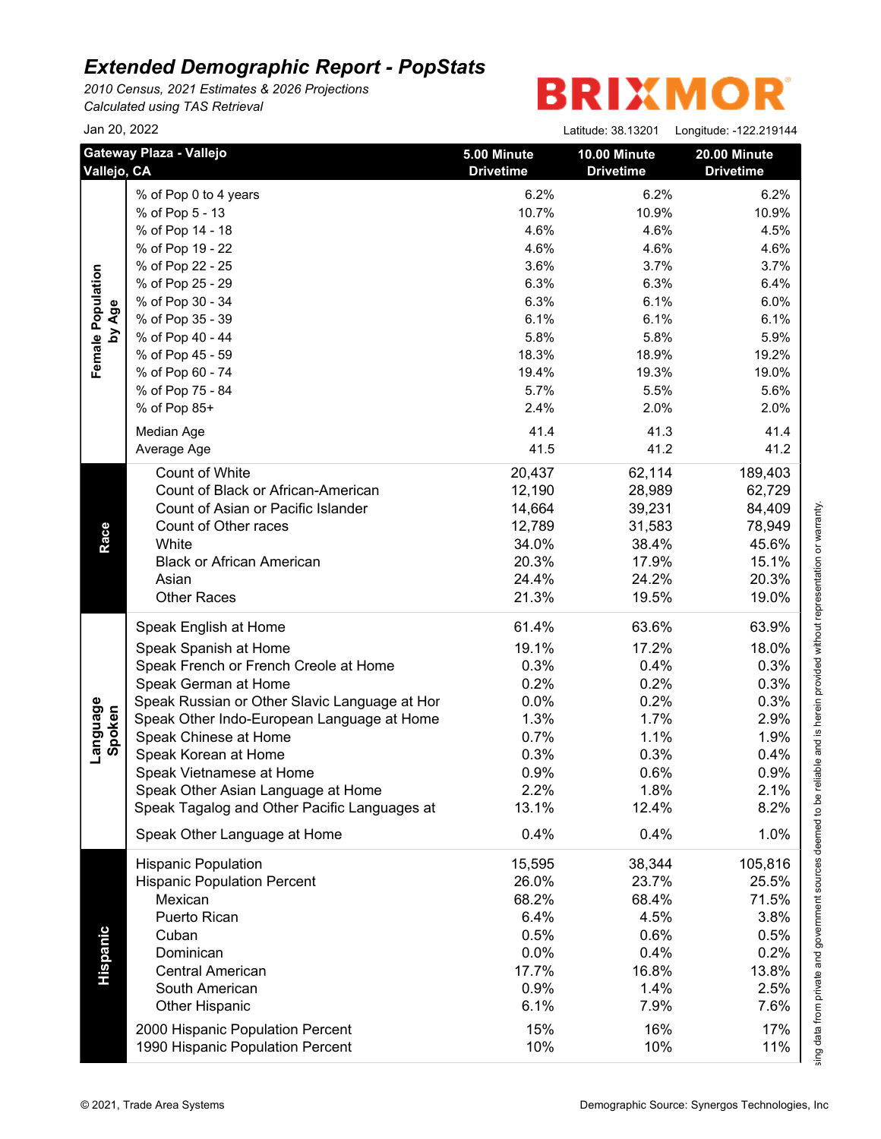*2010 Census, 2021 Estimates & 2026 Projections Calculated using TAS Retrieval*

|                    | Jan 20, 2022                                                         |                                 | Latitude: 38.13201               | Longitude: -122.219144           |  |
|--------------------|----------------------------------------------------------------------|---------------------------------|----------------------------------|----------------------------------|--|
|                    | Gateway Plaza - Vallejo<br>Vallejo, CA                               | 5.00 Minute<br><b>Drivetime</b> | 10.00 Minute<br><b>Drivetime</b> | 20.00 Minute<br><b>Drivetime</b> |  |
|                    | % of Pop 0 to 4 years                                                | 6.2%                            | 6.2%                             | 6.2%                             |  |
|                    | % of Pop 5 - 13                                                      | 10.7%                           | 10.9%                            | 10.9%                            |  |
|                    | % of Pop 14 - 18                                                     | 4.6%                            | 4.6%                             | 4.5%                             |  |
|                    | % of Pop 19 - 22                                                     | 4.6%                            | 4.6%                             | 4.6%                             |  |
|                    | % of Pop 22 - 25                                                     | 3.6%                            | 3.7%                             | 3.7%                             |  |
|                    | % of Pop 25 - 29                                                     | 6.3%                            | 6.3%                             | 6.4%                             |  |
|                    | % of Pop 30 - 34                                                     | 6.3%                            | 6.1%                             | 6.0%                             |  |
| by Age             | % of Pop 35 - 39                                                     | 6.1%                            | 6.1%                             | 6.1%                             |  |
|                    | % of Pop 40 - 44                                                     | 5.8%                            | 5.8%                             | 5.9%                             |  |
|                    | % of Pop 45 - 59                                                     | 18.3%                           | 18.9%                            | 19.2%                            |  |
|                    | % of Pop 60 - 74                                                     | 19.4%                           | 19.3%                            | 19.0%                            |  |
|                    | % of Pop 75 - 84                                                     | 5.7%                            | 5.5%                             | 5.6%                             |  |
|                    | % of Pop 85+                                                         | 2.4%                            | 2.0%                             | 2.0%                             |  |
|                    | Median Age                                                           | 41.4                            | 41.3                             | 41.4                             |  |
|                    | Average Age                                                          | 41.5                            | 41.2                             | 41.2                             |  |
|                    | Count of White                                                       | 20,437                          | 62,114                           | 189,403                          |  |
|                    | Count of Black or African-American                                   | 12,190                          | 28,989                           | 62,729                           |  |
|                    | Count of Asian or Pacific Islander                                   | 14,664                          | 39,231                           | 84,409                           |  |
|                    | Count of Other races                                                 | 12,789                          | 31,583                           | 78,949                           |  |
|                    | White                                                                | 34.0%                           | 38.4%                            | 45.6%                            |  |
|                    | <b>Black or African American</b>                                     | 20.3%                           | 17.9%                            | 15.1%                            |  |
|                    | Asian                                                                | 24.4%                           | 24.2%                            | 20.3%                            |  |
|                    | <b>Other Races</b>                                                   | 21.3%                           | 19.5%                            | 19.0%                            |  |
|                    | Speak English at Home                                                | 61.4%                           | 63.6%                            | 63.9%                            |  |
|                    | Speak Spanish at Home                                                | 19.1%                           | 17.2%                            | 18.0%                            |  |
|                    | Speak French or French Creole at Home                                | 0.3%                            | 0.4%                             | 0.3%                             |  |
|                    | Speak German at Home                                                 | 0.2%                            | 0.2%                             | 0.3%                             |  |
|                    | Speak Russian or Other Slavic Language at Hor                        | 0.0%                            | 0.2%                             | 0.3%                             |  |
| Language<br>Spoken | Speak Other Indo-European Language at Home                           | 1.3%                            | 1.7%                             | 2.9%                             |  |
|                    | Speak Chinese at Home                                                | 0.7%                            | 1.1%                             | 1.9%                             |  |
|                    | Speak Korean at Home                                                 | 0.3%                            | 0.3%                             | 0.4%                             |  |
|                    | Speak Vietnamese at Home                                             | 0.9%                            | 0.6%                             | 0.9%                             |  |
|                    | Speak Other Asian Language at Home                                   | 2.2%                            | 1.8%                             | 2.1%                             |  |
|                    | Speak Tagalog and Other Pacific Languages at                         | 13.1%                           | 12.4%                            | 8.2%                             |  |
|                    | Speak Other Language at Home                                         | 0.4%                            | 0.4%                             | 1.0%                             |  |
|                    | <b>Hispanic Population</b>                                           | 15,595                          | 38,344                           | 105,816                          |  |
|                    | <b>Hispanic Population Percent</b>                                   | 26.0%                           | 23.7%                            | 25.5%                            |  |
|                    | Mexican                                                              | 68.2%                           | 68.4%                            | 71.5%                            |  |
|                    | Puerto Rican                                                         | 6.4%                            | 4.5%                             | 3.8%                             |  |
|                    | Cuban                                                                | 0.5%                            | 0.6%                             | 0.5%                             |  |
|                    | Dominican                                                            | 0.0%                            | 0.4%                             | 0.2%                             |  |
|                    | <b>Central American</b>                                              | 17.7%                           | 16.8%                            | 13.8%                            |  |
|                    | South American                                                       | 0.9%                            | 1.4%                             | 2.5%                             |  |
|                    | Other Hispanic                                                       | 6.1%                            | 7.9%                             | 7.6%                             |  |
|                    |                                                                      |                                 |                                  |                                  |  |
|                    | 2000 Hispanic Population Percent<br>1990 Hispanic Population Percent | 15%<br>10%                      | 16%<br>10%                       | 17%<br>11%                       |  |
|                    |                                                                      |                                 |                                  |                                  |  |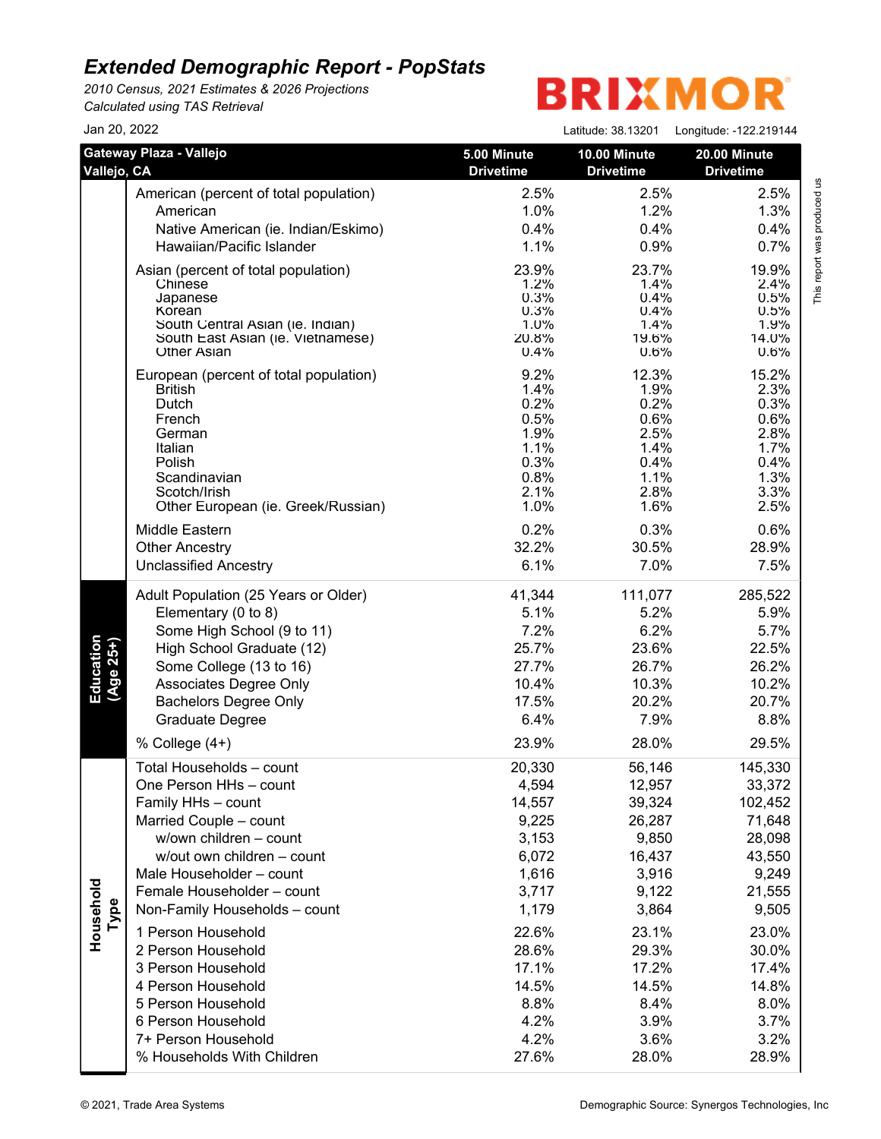*2010 Census, 2021 Estimates & 2026 Projections Calculated using TAS Retrieval*

| Jan 20, 2022           |                                            |                                 | Latitude: 38.13201               | Longitude: -122.219144           |
|------------------------|--------------------------------------------|---------------------------------|----------------------------------|----------------------------------|
| Vallejo, CA            | Gateway Plaza - Vallejo                    | 5.00 Minute<br><b>Drivetime</b> | 10.00 Minute<br><b>Drivetime</b> | 20.00 Minute<br><b>Drivetime</b> |
|                        | American (percent of total population)     | 2.5%                            | 2.5%                             | 2.5%                             |
|                        | American                                   | 1.0%                            | 1.2%                             | 1.3%                             |
|                        | Native American (ie. Indian/Eskimo)        | 0.4%                            | 0.4%                             | 0.4%                             |
|                        | Hawaiian/Pacific Islander                  | 1.1%                            | 0.9%                             | 0.7%                             |
|                        | Asian (percent of total population)        | 23.9%                           | 23.7%                            | 19.9%                            |
|                        | Chinese                                    | 1.2%                            | 1.4%                             | 2.4%                             |
|                        | Japanese                                   | 0.3%                            | 0.4%                             | 0.5%                             |
|                        | Korean<br>South Central Asian (ie. Indian) | 0.3%<br>1.0%                    | 0.4%<br>1.4%                     | 0.5%<br>1.9%                     |
|                        | South East Asian (ie. Vietnamese)          | 20.8%                           | 19.6%                            | 14.0%                            |
|                        | <b>Other Asian</b>                         | 0.4%                            | 0.6%                             | 0.6%                             |
|                        | European (percent of total population)     | 9.2%                            | 12.3%                            | 15.2%                            |
|                        | <b>British</b>                             | 1.4%                            | 1.9%                             | 2.3%                             |
|                        | Dutch                                      | 0.2%                            | 0.2%                             | 0.3%                             |
|                        | French<br>German                           | 0.5%<br>1.9%                    | 0.6%<br>2.5%                     | 0.6%<br>2.8%                     |
|                        | Italian                                    | 1.1%                            | 1.4%                             | 1.7%                             |
|                        | Polish                                     | 0.3%                            | 0.4%                             | 0.4%                             |
|                        | Scandinavian                               | 0.8%                            | 1.1%                             | 1.3%                             |
|                        | Scotch/Irish                               | 2.1%                            | 2.8%                             | 3.3%                             |
|                        | Other European (ie. Greek/Russian)         | 1.0%                            | 1.6%                             | 2.5%                             |
|                        | Middle Eastern                             | 0.2%                            | 0.3%                             | 0.6%                             |
|                        | <b>Other Ancestry</b>                      | 32.2%                           | 30.5%                            | 28.9%                            |
|                        | <b>Unclassified Ancestry</b>               | 6.1%                            | 7.0%                             | 7.5%                             |
|                        | Adult Population (25 Years or Older)       | 41,344                          | 111,077                          | 285,522                          |
|                        | Elementary (0 to 8)                        | 5.1%                            | 5.2%                             | 5.9%                             |
|                        | Some High School (9 to 11)                 | 7.2%                            | 6.2%                             | 5.7%                             |
|                        | High School Graduate (12)                  | 25.7%                           | 23.6%                            | 22.5%                            |
|                        | Some College (13 to 16)                    | 27.7%                           | 26.7%                            | 26.2%                            |
| Education<br>(Age 25+) | Associates Degree Only                     | 10.4%                           | 10.3%                            | 10.2%                            |
|                        | <b>Bachelors Degree Only</b>               | 17.5%                           | 20.2%                            | 20.7%                            |
|                        | Graduate Degree                            | 6.4%                            | 7.9%                             | 8.8%                             |
|                        | % College $(4+)$                           | 23.9%                           | 28.0%                            | 29.5%                            |
|                        | Total Households - count                   | 20,330                          | 56,146                           | 145,330                          |
|                        | One Person HHs - count                     | 4,594                           | 12,957                           | 33,372                           |
|                        | Family HHs - count                         | 14,557                          | 39,324                           | 102,452                          |
|                        | Married Couple - count                     | 9,225                           | 26,287                           | 71,648                           |
|                        | w/own children - count                     | 3,153                           | 9,850                            | 28,098                           |
|                        | w/out own children - count                 | 6,072                           | 16,437                           | 43,550                           |
|                        | Male Householder - count                   | 1,616                           | 3,916                            | 9,249                            |
|                        | Female Householder - count                 | 3,717                           | 9,122                            | 21,555                           |
| Household<br>Type      | Non-Family Households - count              | 1,179                           | 3,864                            | 9,505                            |
|                        | 1 Person Household                         | 22.6%                           | 23.1%                            | 23.0%                            |
|                        | 2 Person Household                         | 28.6%                           | 29.3%                            | 30.0%                            |
|                        | 3 Person Household                         | 17.1%                           | 17.2%                            | 17.4%                            |
|                        | 4 Person Household                         | 14.5%                           | 14.5%                            | 14.8%                            |
|                        | 5 Person Household                         | 8.8%                            | 8.4%                             | 8.0%                             |
|                        | 6 Person Household                         | 4.2%                            | 3.9%                             | 3.7%                             |
|                        | 7+ Person Household                        | 4.2%                            | 3.6%                             | 3.2%                             |
|                        | % Households With Children                 | 27.6%                           | 28.0%                            | 28.9%                            |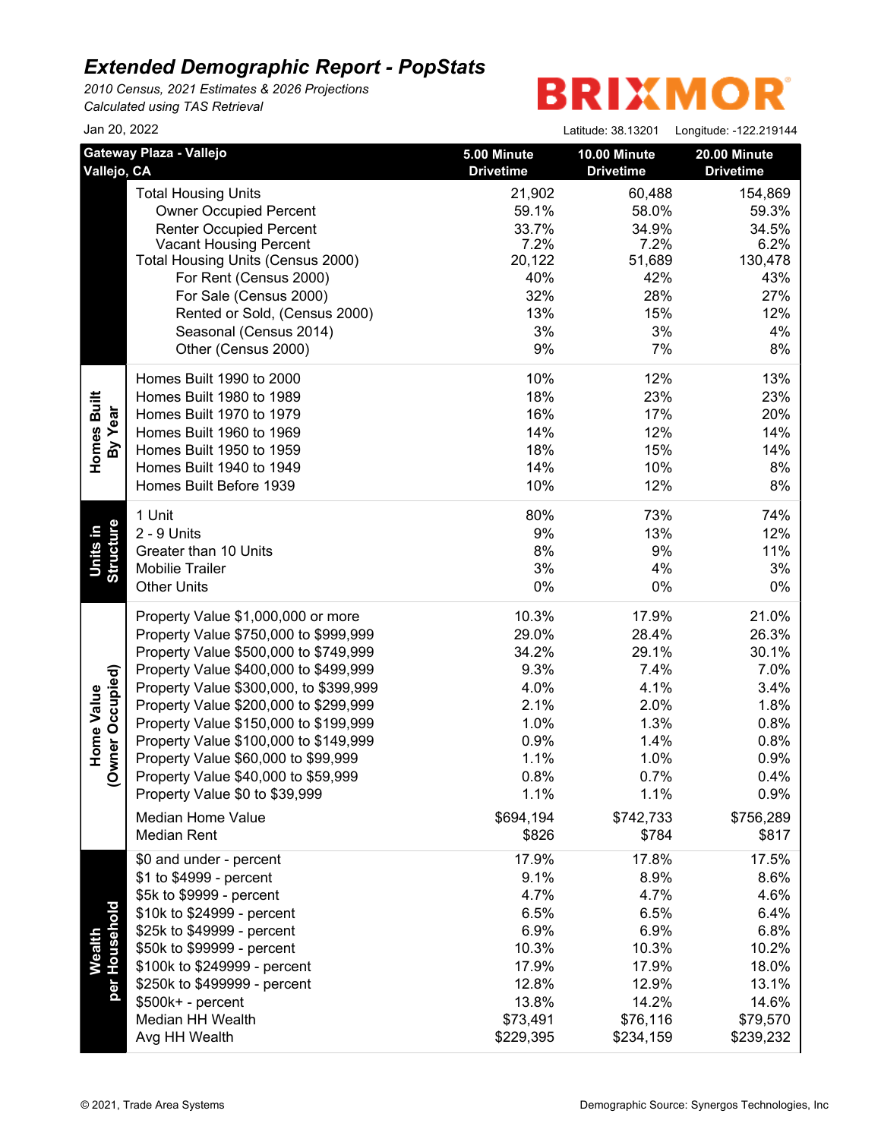*2010 Census, 2021 Estimates & 2026 Projections Calculated using TAS Retrieval*

| Jan 20, 2022                                          |                                                                                                                                                                                                                                                                                                                                                                                                                                                                                                      |                                                                                                               | Latitude: 38.13201                                                                                            | Longitude: -122.219144                                                                                        |
|-------------------------------------------------------|------------------------------------------------------------------------------------------------------------------------------------------------------------------------------------------------------------------------------------------------------------------------------------------------------------------------------------------------------------------------------------------------------------------------------------------------------------------------------------------------------|---------------------------------------------------------------------------------------------------------------|---------------------------------------------------------------------------------------------------------------|---------------------------------------------------------------------------------------------------------------|
| Vallejo, CA                                           | Gateway Plaza - Vallejo                                                                                                                                                                                                                                                                                                                                                                                                                                                                              | 5.00 Minute<br><b>Drivetime</b>                                                                               | 10.00 Minute<br><b>Drivetime</b>                                                                              | 20.00 Minute<br><b>Drivetime</b>                                                                              |
|                                                       | <b>Total Housing Units</b><br><b>Owner Occupied Percent</b><br><b>Renter Occupied Percent</b><br><b>Vacant Housing Percent</b><br>Total Housing Units (Census 2000)<br>For Rent (Census 2000)<br>For Sale (Census 2000)<br>Rented or Sold, (Census 2000)<br>Seasonal (Census 2014)<br>Other (Census 2000)                                                                                                                                                                                            | 21,902<br>59.1%<br>33.7%<br>7.2%<br>20,122<br>40%<br>32%<br>13%<br>3%<br>9%                                   | 60,488<br>58.0%<br>34.9%<br>7.2%<br>51,689<br>42%<br>28%<br>15%<br>3%<br>7%                                   | 154,869<br>59.3%<br>34.5%<br>6.2%<br>130,478<br>43%<br>27%<br>12%<br>4%<br>8%                                 |
| Homes Built<br>By Year                                | Homes Built 1990 to 2000<br>Homes Built 1980 to 1989<br>Homes Built 1970 to 1979<br>Homes Built 1960 to 1969<br>Homes Built 1950 to 1959<br>Homes Built 1940 to 1949<br>Homes Built Before 1939                                                                                                                                                                                                                                                                                                      | 10%<br>18%<br>16%<br>14%<br>18%<br>14%<br>10%                                                                 | 12%<br>23%<br>17%<br>12%<br>15%<br>10%<br>12%                                                                 | 13%<br>23%<br>20%<br>14%<br>14%<br>8%<br>8%                                                                   |
| <b>Structure</b><br>Units in                          | 1 Unit<br>2 - 9 Units<br>Greater than 10 Units<br><b>Mobilie Trailer</b><br><b>Other Units</b>                                                                                                                                                                                                                                                                                                                                                                                                       | 80%<br>9%<br>8%<br>3%<br>0%                                                                                   | 73%<br>13%<br>9%<br>4%<br>$0\%$                                                                               | 74%<br>12%<br>11%<br>3%<br>0%                                                                                 |
| vner Occupied)<br>Home Value<br>$\check{\mathcal{S}}$ | Property Value \$1,000,000 or more<br>Property Value \$750,000 to \$999,999<br>Property Value \$500,000 to \$749,999<br>Property Value \$400,000 to \$499,999<br>Property Value \$300,000, to \$399,999<br>Property Value \$200,000 to \$299,999<br>Property Value \$150,000 to \$199,999<br>Property Value \$100,000 to \$149,999<br>Property Value \$60,000 to \$99,999<br>Property Value \$40,000 to \$59,999<br>Property Value \$0 to \$39,999<br><b>Median Home Value</b><br><b>Median Rent</b> | 10.3%<br>29.0%<br>34.2%<br>9.3%<br>4.0%<br>2.1%<br>1.0%<br>0.9%<br>1.1%<br>0.8%<br>1.1%<br>\$694,194<br>\$826 | 17.9%<br>28.4%<br>29.1%<br>7.4%<br>4.1%<br>2.0%<br>1.3%<br>1.4%<br>1.0%<br>0.7%<br>1.1%<br>\$742,733<br>\$784 | 21.0%<br>26.3%<br>30.1%<br>7.0%<br>3.4%<br>1.8%<br>0.8%<br>0.8%<br>0.9%<br>0.4%<br>0.9%<br>\$756,289<br>\$817 |
| per Household<br>Wealth                               | \$0 and under - percent<br>\$1 to \$4999 - percent<br>\$5k to \$9999 - percent<br>\$10k to \$24999 - percent<br>\$25k to \$49999 - percent<br>\$50k to \$99999 - percent<br>\$100k to \$249999 - percent<br>\$250k to \$499999 - percent<br>$$500k+ - percent$<br>Median HH Wealth<br>Avg HH Wealth                                                                                                                                                                                                  | 17.9%<br>9.1%<br>4.7%<br>6.5%<br>6.9%<br>10.3%<br>17.9%<br>12.8%<br>13.8%<br>\$73,491<br>\$229,395            | 17.8%<br>8.9%<br>4.7%<br>6.5%<br>6.9%<br>10.3%<br>17.9%<br>12.9%<br>14.2%<br>\$76,116<br>\$234,159            | 17.5%<br>8.6%<br>4.6%<br>6.4%<br>6.8%<br>10.2%<br>18.0%<br>13.1%<br>14.6%<br>\$79,570<br>\$239,232            |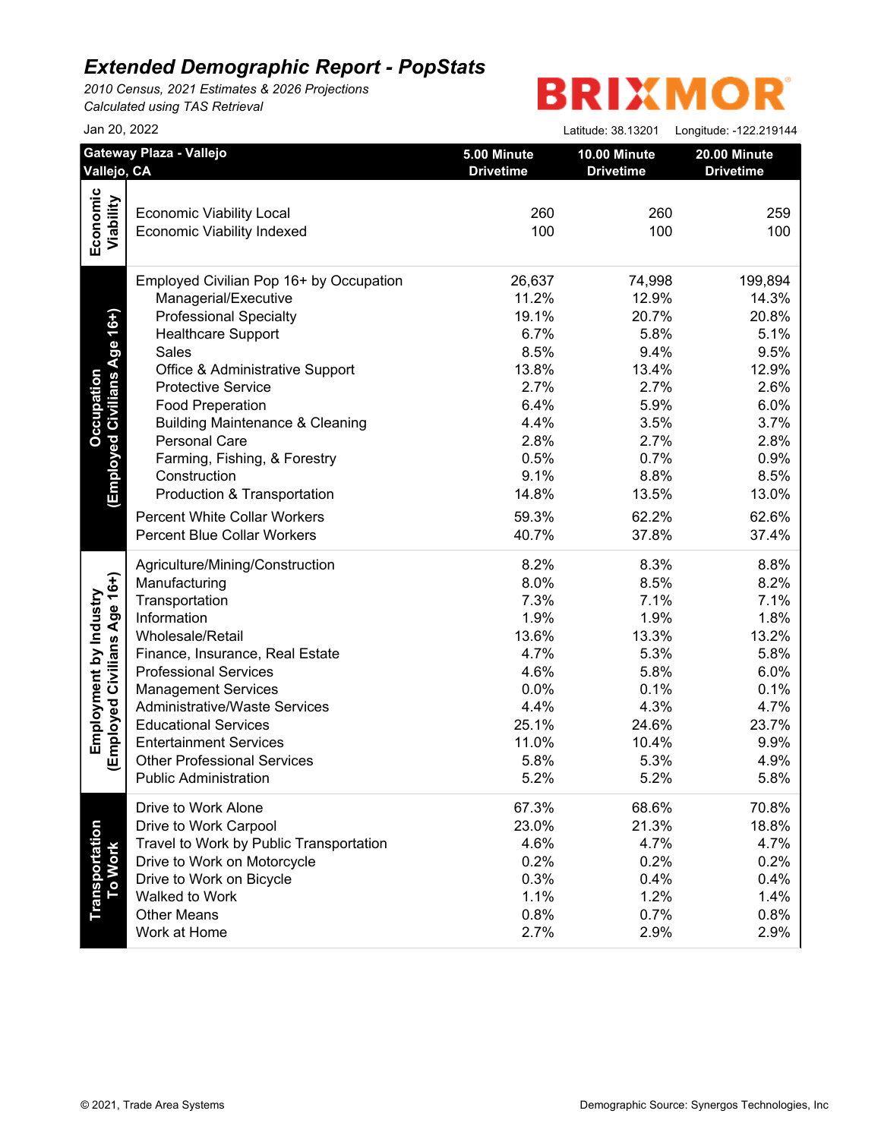*2010 Census, 2021 Estimates & 2026 Projections Calculated using TAS Retrieval*

|                                         |                                                                                                                                                                                                                                                                                                                                                                                                                                                                                                                                                                                                                                                                                                                                                                                                                                                                                                                               | Latitude: 38.13201                                                                                                                                                                                                                                          | Longitude: -122.219144                                                                                                                                                                                                                                                                                          |
|-----------------------------------------|-------------------------------------------------------------------------------------------------------------------------------------------------------------------------------------------------------------------------------------------------------------------------------------------------------------------------------------------------------------------------------------------------------------------------------------------------------------------------------------------------------------------------------------------------------------------------------------------------------------------------------------------------------------------------------------------------------------------------------------------------------------------------------------------------------------------------------------------------------------------------------------------------------------------------------|-------------------------------------------------------------------------------------------------------------------------------------------------------------------------------------------------------------------------------------------------------------|-----------------------------------------------------------------------------------------------------------------------------------------------------------------------------------------------------------------------------------------------------------------------------------------------------------------|
| Gateway Plaza - Vallejo<br>Vallejo, CA  | 5.00 Minute<br><b>Drivetime</b>                                                                                                                                                                                                                                                                                                                                                                                                                                                                                                                                                                                                                                                                                                                                                                                                                                                                                               | 10.00 Minute<br><b>Drivetime</b>                                                                                                                                                                                                                            | 20.00 Minute<br><b>Drivetime</b>                                                                                                                                                                                                                                                                                |
|                                         |                                                                                                                                                                                                                                                                                                                                                                                                                                                                                                                                                                                                                                                                                                                                                                                                                                                                                                                               |                                                                                                                                                                                                                                                             |                                                                                                                                                                                                                                                                                                                 |
|                                         |                                                                                                                                                                                                                                                                                                                                                                                                                                                                                                                                                                                                                                                                                                                                                                                                                                                                                                                               |                                                                                                                                                                                                                                                             | 259                                                                                                                                                                                                                                                                                                             |
|                                         |                                                                                                                                                                                                                                                                                                                                                                                                                                                                                                                                                                                                                                                                                                                                                                                                                                                                                                                               |                                                                                                                                                                                                                                                             | 100                                                                                                                                                                                                                                                                                                             |
|                                         |                                                                                                                                                                                                                                                                                                                                                                                                                                                                                                                                                                                                                                                                                                                                                                                                                                                                                                                               |                                                                                                                                                                                                                                                             |                                                                                                                                                                                                                                                                                                                 |
| Employed Civilian Pop 16+ by Occupation | 26,637                                                                                                                                                                                                                                                                                                                                                                                                                                                                                                                                                                                                                                                                                                                                                                                                                                                                                                                        |                                                                                                                                                                                                                                                             | 199,894                                                                                                                                                                                                                                                                                                         |
|                                         |                                                                                                                                                                                                                                                                                                                                                                                                                                                                                                                                                                                                                                                                                                                                                                                                                                                                                                                               |                                                                                                                                                                                                                                                             | 14.3%                                                                                                                                                                                                                                                                                                           |
|                                         |                                                                                                                                                                                                                                                                                                                                                                                                                                                                                                                                                                                                                                                                                                                                                                                                                                                                                                                               |                                                                                                                                                                                                                                                             | 20.8%                                                                                                                                                                                                                                                                                                           |
|                                         |                                                                                                                                                                                                                                                                                                                                                                                                                                                                                                                                                                                                                                                                                                                                                                                                                                                                                                                               |                                                                                                                                                                                                                                                             | 5.1%                                                                                                                                                                                                                                                                                                            |
|                                         |                                                                                                                                                                                                                                                                                                                                                                                                                                                                                                                                                                                                                                                                                                                                                                                                                                                                                                                               |                                                                                                                                                                                                                                                             | 9.5%                                                                                                                                                                                                                                                                                                            |
|                                         |                                                                                                                                                                                                                                                                                                                                                                                                                                                                                                                                                                                                                                                                                                                                                                                                                                                                                                                               |                                                                                                                                                                                                                                                             | 12.9%                                                                                                                                                                                                                                                                                                           |
|                                         |                                                                                                                                                                                                                                                                                                                                                                                                                                                                                                                                                                                                                                                                                                                                                                                                                                                                                                                               |                                                                                                                                                                                                                                                             | 2.6%                                                                                                                                                                                                                                                                                                            |
| <b>Food Preperation</b>                 |                                                                                                                                                                                                                                                                                                                                                                                                                                                                                                                                                                                                                                                                                                                                                                                                                                                                                                                               |                                                                                                                                                                                                                                                             | 6.0%                                                                                                                                                                                                                                                                                                            |
|                                         |                                                                                                                                                                                                                                                                                                                                                                                                                                                                                                                                                                                                                                                                                                                                                                                                                                                                                                                               |                                                                                                                                                                                                                                                             | 3.7%                                                                                                                                                                                                                                                                                                            |
| Personal Care                           | 2.8%                                                                                                                                                                                                                                                                                                                                                                                                                                                                                                                                                                                                                                                                                                                                                                                                                                                                                                                          |                                                                                                                                                                                                                                                             | 2.8%                                                                                                                                                                                                                                                                                                            |
| Farming, Fishing, & Forestry            | 0.5%                                                                                                                                                                                                                                                                                                                                                                                                                                                                                                                                                                                                                                                                                                                                                                                                                                                                                                                          |                                                                                                                                                                                                                                                             | 0.9%                                                                                                                                                                                                                                                                                                            |
| Construction                            | 9.1%                                                                                                                                                                                                                                                                                                                                                                                                                                                                                                                                                                                                                                                                                                                                                                                                                                                                                                                          |                                                                                                                                                                                                                                                             | 8.5%                                                                                                                                                                                                                                                                                                            |
| Production & Transportation             | 14.8%                                                                                                                                                                                                                                                                                                                                                                                                                                                                                                                                                                                                                                                                                                                                                                                                                                                                                                                         |                                                                                                                                                                                                                                                             | 13.0%                                                                                                                                                                                                                                                                                                           |
|                                         |                                                                                                                                                                                                                                                                                                                                                                                                                                                                                                                                                                                                                                                                                                                                                                                                                                                                                                                               |                                                                                                                                                                                                                                                             | 62.6%                                                                                                                                                                                                                                                                                                           |
|                                         |                                                                                                                                                                                                                                                                                                                                                                                                                                                                                                                                                                                                                                                                                                                                                                                                                                                                                                                               |                                                                                                                                                                                                                                                             | 37.4%                                                                                                                                                                                                                                                                                                           |
|                                         |                                                                                                                                                                                                                                                                                                                                                                                                                                                                                                                                                                                                                                                                                                                                                                                                                                                                                                                               |                                                                                                                                                                                                                                                             | 8.8%                                                                                                                                                                                                                                                                                                            |
|                                         |                                                                                                                                                                                                                                                                                                                                                                                                                                                                                                                                                                                                                                                                                                                                                                                                                                                                                                                               |                                                                                                                                                                                                                                                             | 8.2%                                                                                                                                                                                                                                                                                                            |
|                                         |                                                                                                                                                                                                                                                                                                                                                                                                                                                                                                                                                                                                                                                                                                                                                                                                                                                                                                                               |                                                                                                                                                                                                                                                             | 7.1%                                                                                                                                                                                                                                                                                                            |
|                                         |                                                                                                                                                                                                                                                                                                                                                                                                                                                                                                                                                                                                                                                                                                                                                                                                                                                                                                                               |                                                                                                                                                                                                                                                             | 1.8%                                                                                                                                                                                                                                                                                                            |
|                                         |                                                                                                                                                                                                                                                                                                                                                                                                                                                                                                                                                                                                                                                                                                                                                                                                                                                                                                                               |                                                                                                                                                                                                                                                             | 13.2%                                                                                                                                                                                                                                                                                                           |
|                                         |                                                                                                                                                                                                                                                                                                                                                                                                                                                                                                                                                                                                                                                                                                                                                                                                                                                                                                                               |                                                                                                                                                                                                                                                             | 5.8%                                                                                                                                                                                                                                                                                                            |
|                                         |                                                                                                                                                                                                                                                                                                                                                                                                                                                                                                                                                                                                                                                                                                                                                                                                                                                                                                                               |                                                                                                                                                                                                                                                             |                                                                                                                                                                                                                                                                                                                 |
|                                         |                                                                                                                                                                                                                                                                                                                                                                                                                                                                                                                                                                                                                                                                                                                                                                                                                                                                                                                               |                                                                                                                                                                                                                                                             | 6.0%                                                                                                                                                                                                                                                                                                            |
|                                         |                                                                                                                                                                                                                                                                                                                                                                                                                                                                                                                                                                                                                                                                                                                                                                                                                                                                                                                               |                                                                                                                                                                                                                                                             | 0.1%                                                                                                                                                                                                                                                                                                            |
|                                         |                                                                                                                                                                                                                                                                                                                                                                                                                                                                                                                                                                                                                                                                                                                                                                                                                                                                                                                               |                                                                                                                                                                                                                                                             | 4.7%                                                                                                                                                                                                                                                                                                            |
|                                         |                                                                                                                                                                                                                                                                                                                                                                                                                                                                                                                                                                                                                                                                                                                                                                                                                                                                                                                               |                                                                                                                                                                                                                                                             | 23.7%                                                                                                                                                                                                                                                                                                           |
|                                         |                                                                                                                                                                                                                                                                                                                                                                                                                                                                                                                                                                                                                                                                                                                                                                                                                                                                                                                               |                                                                                                                                                                                                                                                             | 9.9%                                                                                                                                                                                                                                                                                                            |
|                                         |                                                                                                                                                                                                                                                                                                                                                                                                                                                                                                                                                                                                                                                                                                                                                                                                                                                                                                                               |                                                                                                                                                                                                                                                             | 4.9%                                                                                                                                                                                                                                                                                                            |
|                                         |                                                                                                                                                                                                                                                                                                                                                                                                                                                                                                                                                                                                                                                                                                                                                                                                                                                                                                                               |                                                                                                                                                                                                                                                             | 5.8%                                                                                                                                                                                                                                                                                                            |
| Drive to Work Alone                     | 67.3%                                                                                                                                                                                                                                                                                                                                                                                                                                                                                                                                                                                                                                                                                                                                                                                                                                                                                                                         |                                                                                                                                                                                                                                                             | 70.8%                                                                                                                                                                                                                                                                                                           |
|                                         |                                                                                                                                                                                                                                                                                                                                                                                                                                                                                                                                                                                                                                                                                                                                                                                                                                                                                                                               |                                                                                                                                                                                                                                                             | 18.8%                                                                                                                                                                                                                                                                                                           |
|                                         |                                                                                                                                                                                                                                                                                                                                                                                                                                                                                                                                                                                                                                                                                                                                                                                                                                                                                                                               |                                                                                                                                                                                                                                                             | 4.7%                                                                                                                                                                                                                                                                                                            |
|                                         |                                                                                                                                                                                                                                                                                                                                                                                                                                                                                                                                                                                                                                                                                                                                                                                                                                                                                                                               |                                                                                                                                                                                                                                                             | 0.2%                                                                                                                                                                                                                                                                                                            |
|                                         |                                                                                                                                                                                                                                                                                                                                                                                                                                                                                                                                                                                                                                                                                                                                                                                                                                                                                                                               |                                                                                                                                                                                                                                                             | 0.4%                                                                                                                                                                                                                                                                                                            |
|                                         |                                                                                                                                                                                                                                                                                                                                                                                                                                                                                                                                                                                                                                                                                                                                                                                                                                                                                                                               |                                                                                                                                                                                                                                                             | 1.4%                                                                                                                                                                                                                                                                                                            |
|                                         |                                                                                                                                                                                                                                                                                                                                                                                                                                                                                                                                                                                                                                                                                                                                                                                                                                                                                                                               |                                                                                                                                                                                                                                                             | 0.8%                                                                                                                                                                                                                                                                                                            |
| Work at Home                            | 2.7%                                                                                                                                                                                                                                                                                                                                                                                                                                                                                                                                                                                                                                                                                                                                                                                                                                                                                                                          | 2.9%                                                                                                                                                                                                                                                        | 2.9%                                                                                                                                                                                                                                                                                                            |
|                                         | <b>Economic Viability Local</b><br><b>Economic Viability Indexed</b><br>Managerial/Executive<br><b>Professional Specialty</b><br><b>Healthcare Support</b><br>Sales<br>Office & Administrative Support<br><b>Protective Service</b><br><b>Building Maintenance &amp; Cleaning</b><br><b>Percent White Collar Workers</b><br><b>Percent Blue Collar Workers</b><br>Agriculture/Mining/Construction<br>Manufacturing<br>Transportation<br>Information<br>Wholesale/Retail<br>Finance, Insurance, Real Estate<br><b>Professional Services</b><br><b>Management Services</b><br><b>Administrative/Waste Services</b><br><b>Educational Services</b><br><b>Entertainment Services</b><br><b>Other Professional Services</b><br><b>Public Administration</b><br>Drive to Work Carpool<br>Travel to Work by Public Transportation<br>Drive to Work on Motorcycle<br>Drive to Work on Bicycle<br>Walked to Work<br><b>Other Means</b> | 260<br>100<br>11.2%<br>19.1%<br>6.7%<br>8.5%<br>13.8%<br>2.7%<br>6.4%<br>4.4%<br>59.3%<br>40.7%<br>8.2%<br>8.0%<br>7.3%<br>1.9%<br>13.6%<br>4.7%<br>4.6%<br>0.0%<br>4.4%<br>25.1%<br>11.0%<br>5.8%<br>5.2%<br>23.0%<br>4.6%<br>0.2%<br>0.3%<br>1.1%<br>0.8% | 260<br>100<br>74,998<br>12.9%<br>20.7%<br>5.8%<br>9.4%<br>13.4%<br>2.7%<br>5.9%<br>3.5%<br>2.7%<br>0.7%<br>8.8%<br>13.5%<br>62.2%<br>37.8%<br>8.3%<br>8.5%<br>7.1%<br>1.9%<br>13.3%<br>5.3%<br>5.8%<br>0.1%<br>4.3%<br>24.6%<br>10.4%<br>5.3%<br>5.2%<br>68.6%<br>21.3%<br>4.7%<br>0.2%<br>0.4%<br>1.2%<br>0.7% |